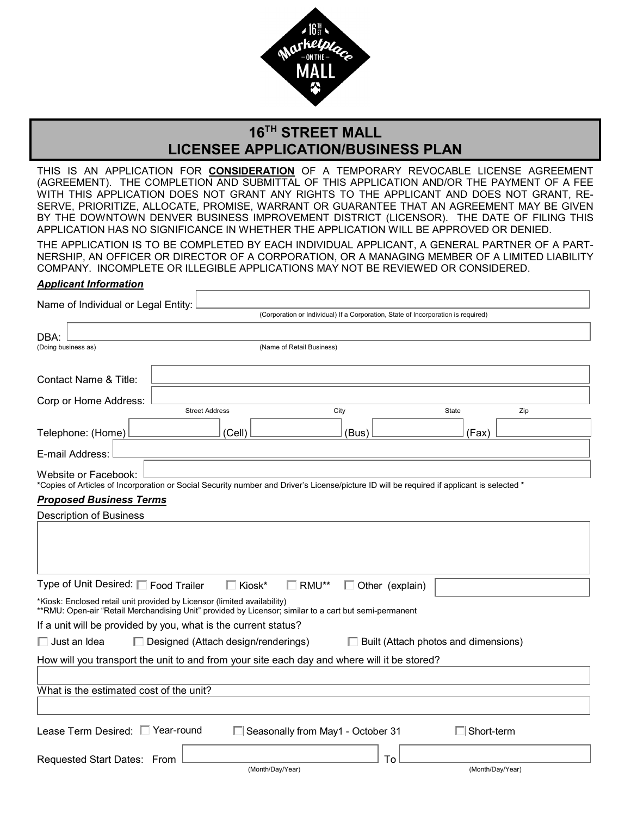

# **16TH STREET MALL LICENSEE APPLICATION/BUSINESS PLAN**

THIS IS AN APPLICATION FOR **CONSIDERATION** OF A TEMPORARY REVOCABLE LICENSE AGREEMENT (AGREEMENT). THE COMPLETION AND SUBMITTAL OF THIS APPLICATION AND/OR THE PAYMENT OF A FEE WITH THIS APPLICATION DOES NOT GRANT ANY RIGHTS TO THE APPLICANT AND DOES NOT GRANT, RE-SERVE, PRIORITIZE, ALLOCATE, PROMISE, WARRANT OR GUARANTEE THAT AN AGREEMENT MAY BE GIVEN BY THE DOWNTOWN DENVER BUSINESS IMPROVEMENT DISTRICT (LICENSOR). THE DATE OF FILING THIS APPLICATION HAS NO SIGNIFICANCE IN WHETHER THE APPLICATION WILL BE APPROVED OR DENIED.

THE APPLICATION IS TO BE COMPLETED BY EACH INDIVIDUAL APPLICANT, A GENERAL PARTNER OF A PART-NERSHIP, AN OFFICER OR DIRECTOR OF A CORPORATION, OR A MANAGING MEMBER OF A LIMITED LIABILITY COMPANY. INCOMPLETE OR ILLEGIBLE APPLICATIONS MAY NOT BE REVIEWED OR CONSIDERED.

#### *Applicant Information*

Г

| Name of Individual or Legal Entity:                                                                                                                                                |                                                                |                                                                                                                                            |                   |     |  |
|------------------------------------------------------------------------------------------------------------------------------------------------------------------------------------|----------------------------------------------------------------|--------------------------------------------------------------------------------------------------------------------------------------------|-------------------|-----|--|
|                                                                                                                                                                                    |                                                                | (Corporation or Individual) If a Corporation, State of Incorporation is required)                                                          |                   |     |  |
| DBA:                                                                                                                                                                               |                                                                |                                                                                                                                            |                   |     |  |
| (Doing business as)                                                                                                                                                                |                                                                | (Name of Retail Business)                                                                                                                  |                   |     |  |
|                                                                                                                                                                                    |                                                                |                                                                                                                                            |                   |     |  |
| <b>Contact Name &amp; Title:</b>                                                                                                                                                   |                                                                |                                                                                                                                            |                   |     |  |
| Corp or Home Address:                                                                                                                                                              |                                                                |                                                                                                                                            |                   |     |  |
|                                                                                                                                                                                    | <b>Street Address</b>                                          | City                                                                                                                                       | State             | Zip |  |
| Telephone: (Home)                                                                                                                                                                  | (Cell)                                                         | (Bus)                                                                                                                                      | (Fax)             |     |  |
| E-mail Address:                                                                                                                                                                    |                                                                |                                                                                                                                            |                   |     |  |
| Website or Facebook:                                                                                                                                                               |                                                                |                                                                                                                                            |                   |     |  |
|                                                                                                                                                                                    |                                                                | *Copies of Articles of Incorporation or Social Security number and Driver's License/picture ID will be required if applicant is selected * |                   |     |  |
| <b>Proposed Business Terms</b>                                                                                                                                                     |                                                                |                                                                                                                                            |                   |     |  |
| <b>Description of Business</b>                                                                                                                                                     |                                                                |                                                                                                                                            |                   |     |  |
|                                                                                                                                                                                    |                                                                |                                                                                                                                            |                   |     |  |
| Type of Unit Desired: □ Food Trailer                                                                                                                                               | $\Box$ Kiosk*                                                  | $\Box$ RMU**<br>$\Box$ Other (explain)                                                                                                     |                   |     |  |
| *Kiosk: Enclosed retail unit provided by Licensor (limited availability)<br>**RMU: Open-air "Retail Merchandising Unit" provided by Licensor; similar to a cart but semi-permanent |                                                                |                                                                                                                                            |                   |     |  |
|                                                                                                                                                                                    | If a unit will be provided by you, what is the current status? |                                                                                                                                            |                   |     |  |
| $\Box$ Just an Idea<br>$\Box$ Designed (Attach design/renderings)<br>$\Box$ Built (Attach photos and dimensions)                                                                   |                                                                |                                                                                                                                            |                   |     |  |
| How will you transport the unit to and from your site each day and where will it be stored?                                                                                        |                                                                |                                                                                                                                            |                   |     |  |
|                                                                                                                                                                                    |                                                                |                                                                                                                                            |                   |     |  |
| What is the estimated cost of the unit?                                                                                                                                            |                                                                |                                                                                                                                            |                   |     |  |
|                                                                                                                                                                                    |                                                                |                                                                                                                                            |                   |     |  |
| Lease Term Desired: □ Year-round                                                                                                                                                   |                                                                | Seasonally from May1 - October 31                                                                                                          | $\Box$ Short-term |     |  |
| Requested Start Dates: From                                                                                                                                                        |                                                                | To                                                                                                                                         |                   |     |  |
|                                                                                                                                                                                    | (Month/Day/Year)                                               |                                                                                                                                            | (Month/Day/Year)  |     |  |
|                                                                                                                                                                                    |                                                                |                                                                                                                                            |                   |     |  |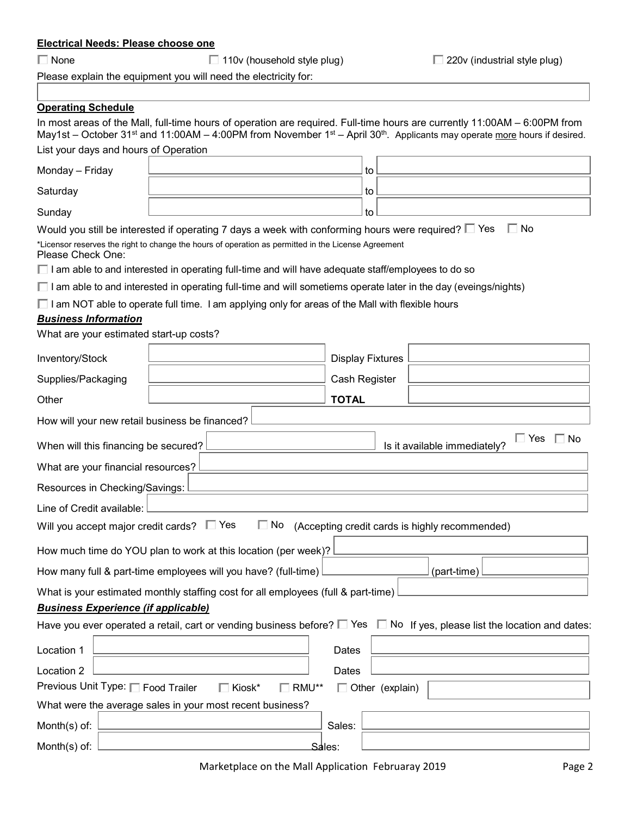# **Electrical Needs: Please choose one**

None 110v (household style plug) 220v (industrial style plug)

Please explain the equipment you will need the electricity for:

# **Operating Schedule**

|                                                                                                                                          | In most areas of the Mall, full-time hours of operation are required. Full-time hours are currently 11:00AM - 6:00PM from |                         |  | May1st – October 31 <sup>st</sup> and 11:00AM – 4:00PM from November 1 <sup>st</sup> – April 30 <sup>th</sup> . Applicants may operate more hours if desired. |
|------------------------------------------------------------------------------------------------------------------------------------------|---------------------------------------------------------------------------------------------------------------------------|-------------------------|--|---------------------------------------------------------------------------------------------------------------------------------------------------------------|
| List your days and hours of Operation                                                                                                    |                                                                                                                           |                         |  |                                                                                                                                                               |
| Monday - Friday                                                                                                                          |                                                                                                                           | to                      |  |                                                                                                                                                               |
| Saturday                                                                                                                                 |                                                                                                                           | to                      |  |                                                                                                                                                               |
| Sunday                                                                                                                                   |                                                                                                                           | to                      |  |                                                                                                                                                               |
|                                                                                                                                          | Would you still be interested if operating 7 days a week with conforming hours were required? $\square$ Yes               |                         |  | $\Box$ No                                                                                                                                                     |
| Please Check One:                                                                                                                        | *Licensor reserves the right to change the hours of operation as permitted in the License Agreement                       |                         |  |                                                                                                                                                               |
|                                                                                                                                          | $\Box$ I am able to and interested in operating full-time and will have adequate staff/employees to do so                 |                         |  |                                                                                                                                                               |
|                                                                                                                                          | $\Box$ I am able to and interested in operating full-time and will sometiems operate later in the day (eveings/nights)    |                         |  |                                                                                                                                                               |
|                                                                                                                                          | $\Box$ I am NOT able to operate full time. I am applying only for areas of the Mall with flexible hours                   |                         |  |                                                                                                                                                               |
| <b>Business Information</b>                                                                                                              |                                                                                                                           |                         |  |                                                                                                                                                               |
| What are your estimated start-up costs?                                                                                                  |                                                                                                                           |                         |  |                                                                                                                                                               |
| Inventory/Stock                                                                                                                          |                                                                                                                           | <b>Display Fixtures</b> |  |                                                                                                                                                               |
| Supplies/Packaging                                                                                                                       |                                                                                                                           | Cash Register           |  |                                                                                                                                                               |
| Other                                                                                                                                    |                                                                                                                           | <b>TOTAL</b>            |  |                                                                                                                                                               |
| How will your new retail business be financed?                                                                                           |                                                                                                                           |                         |  |                                                                                                                                                               |
| When will this financing be secured?                                                                                                     |                                                                                                                           |                         |  | $\Box$ Yes<br>$\Box$ No<br>Is it available immediately?                                                                                                       |
| What are your financial resources?                                                                                                       |                                                                                                                           |                         |  |                                                                                                                                                               |
| Resources in Checking/Savings:                                                                                                           |                                                                                                                           |                         |  |                                                                                                                                                               |
| Line of Credit available:                                                                                                                |                                                                                                                           |                         |  |                                                                                                                                                               |
| Will you accept major credit cards? $\square$ Yes<br>$\Box$ No<br>(Accepting credit cards is highly recommended)                         |                                                                                                                           |                         |  |                                                                                                                                                               |
| How much time do YOU plan to work at this location (per week)?                                                                           |                                                                                                                           |                         |  |                                                                                                                                                               |
| How many full & part-time employees will you have? (full-time)<br>(part-time)                                                            |                                                                                                                           |                         |  |                                                                                                                                                               |
| What is your estimated monthly staffing cost for all employees (full & part-time)                                                        |                                                                                                                           |                         |  |                                                                                                                                                               |
| <b>Business Experience (if applicable)</b>                                                                                               |                                                                                                                           |                         |  |                                                                                                                                                               |
| Have you ever operated a retail, cart or vending business before? $\square$ Yes $\square$ No If yes, please list the location and dates: |                                                                                                                           |                         |  |                                                                                                                                                               |
| Location 1                                                                                                                               |                                                                                                                           | Dates                   |  |                                                                                                                                                               |
| Location 2                                                                                                                               |                                                                                                                           | Dates                   |  |                                                                                                                                                               |
| Previous Unit Type: □ Food Trailer<br>$\Box$ Kiosk*<br>RMU**<br>$\Box$ Other (explain)                                                   |                                                                                                                           |                         |  |                                                                                                                                                               |
| What were the average sales in your most recent business?                                                                                |                                                                                                                           |                         |  |                                                                                                                                                               |
| Month $(s)$ of:                                                                                                                          |                                                                                                                           | Sales:                  |  |                                                                                                                                                               |
| Month(s) of:                                                                                                                             |                                                                                                                           | Sales:                  |  |                                                                                                                                                               |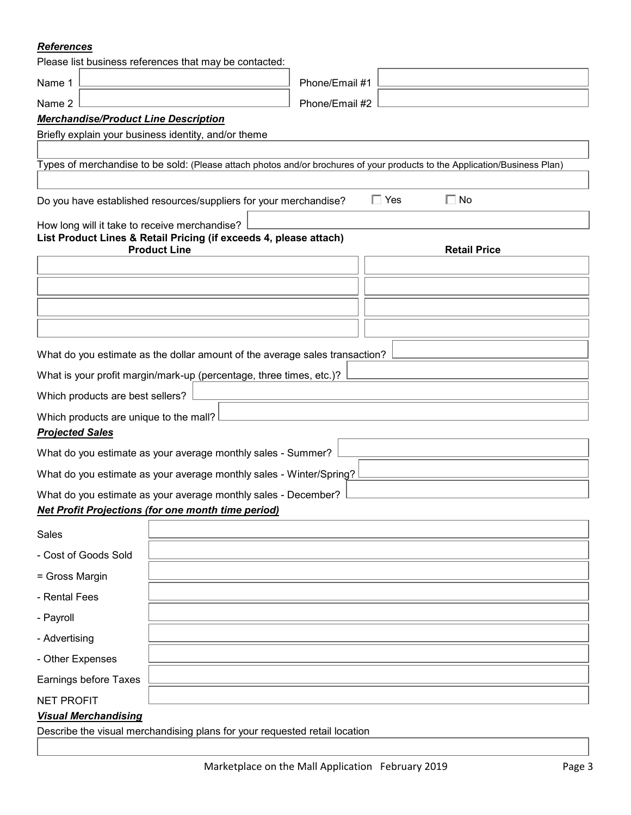### *References*

|                                                                                              | Please list business references that may be contacted:                                   |                |                                                                                                                            |  |  |  |
|----------------------------------------------------------------------------------------------|------------------------------------------------------------------------------------------|----------------|----------------------------------------------------------------------------------------------------------------------------|--|--|--|
| Name 1                                                                                       |                                                                                          | Phone/Email #1 |                                                                                                                            |  |  |  |
| Name 2                                                                                       |                                                                                          | Phone/Email #2 |                                                                                                                            |  |  |  |
| <b>Merchandise/Product Line Description</b>                                                  |                                                                                          |                |                                                                                                                            |  |  |  |
|                                                                                              | Briefly explain your business identity, and/or theme                                     |                |                                                                                                                            |  |  |  |
|                                                                                              |                                                                                          |                | Types of merchandise to be sold: (Please attach photos and/or brochures of your products to the Application/Business Plan) |  |  |  |
|                                                                                              |                                                                                          |                |                                                                                                                            |  |  |  |
| $\Box$ Yes<br>$\Box$ No<br>Do you have established resources/suppliers for your merchandise? |                                                                                          |                |                                                                                                                            |  |  |  |
| How long will it take to receive merchandise?                                                |                                                                                          |                |                                                                                                                            |  |  |  |
|                                                                                              | List Product Lines & Retail Pricing (if exceeds 4, please attach)<br><b>Product Line</b> |                | <b>Retail Price</b>                                                                                                        |  |  |  |
|                                                                                              |                                                                                          |                |                                                                                                                            |  |  |  |
|                                                                                              |                                                                                          |                |                                                                                                                            |  |  |  |
|                                                                                              |                                                                                          |                |                                                                                                                            |  |  |  |
|                                                                                              |                                                                                          |                |                                                                                                                            |  |  |  |
|                                                                                              |                                                                                          |                |                                                                                                                            |  |  |  |
|                                                                                              | What do you estimate as the dollar amount of the average sales transaction?              |                |                                                                                                                            |  |  |  |
|                                                                                              | What is your profit margin/mark-up (percentage, three times, etc.)?                      |                |                                                                                                                            |  |  |  |
| Which products are best sellers?                                                             |                                                                                          |                |                                                                                                                            |  |  |  |
| Which products are unique to the mall?<br><b>Projected Sales</b>                             |                                                                                          |                |                                                                                                                            |  |  |  |
|                                                                                              | What do you estimate as your average monthly sales - Summer?                             |                |                                                                                                                            |  |  |  |
|                                                                                              | What do you estimate as your average monthly sales - Winter/Spring?                      |                |                                                                                                                            |  |  |  |
| What do you estimate as your average monthly sales - December?                               |                                                                                          |                |                                                                                                                            |  |  |  |
| <b>Net Profit Projections (for one month time period)</b>                                    |                                                                                          |                |                                                                                                                            |  |  |  |
| Sales                                                                                        |                                                                                          |                |                                                                                                                            |  |  |  |
| - Cost of Goods Sold                                                                         |                                                                                          |                |                                                                                                                            |  |  |  |
| = Gross Margin                                                                               |                                                                                          |                |                                                                                                                            |  |  |  |
| - Rental Fees                                                                                |                                                                                          |                |                                                                                                                            |  |  |  |
| - Payroll                                                                                    |                                                                                          |                |                                                                                                                            |  |  |  |
| - Advertising                                                                                |                                                                                          |                |                                                                                                                            |  |  |  |
| - Other Expenses                                                                             |                                                                                          |                |                                                                                                                            |  |  |  |
| Earnings before Taxes                                                                        |                                                                                          |                |                                                                                                                            |  |  |  |
| <b>NET PROFIT</b>                                                                            |                                                                                          |                |                                                                                                                            |  |  |  |
| <b>Visual Merchandising</b>                                                                  |                                                                                          |                |                                                                                                                            |  |  |  |
| Describe the visual merchandising plans for your requested retail location                   |                                                                                          |                |                                                                                                                            |  |  |  |
|                                                                                              |                                                                                          |                |                                                                                                                            |  |  |  |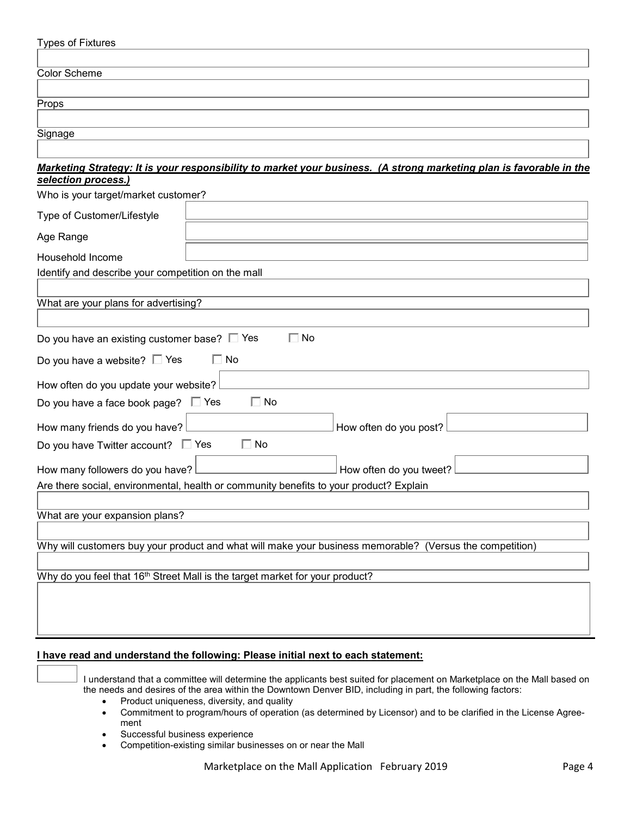| <b>Types of Fixtures</b>                                                                 |                                                                                                                     |  |  |
|------------------------------------------------------------------------------------------|---------------------------------------------------------------------------------------------------------------------|--|--|
| <b>Color Scheme</b>                                                                      |                                                                                                                     |  |  |
| Props                                                                                    |                                                                                                                     |  |  |
|                                                                                          |                                                                                                                     |  |  |
| Signage                                                                                  |                                                                                                                     |  |  |
|                                                                                          |                                                                                                                     |  |  |
| selection process.)                                                                      | Marketing Strategy: It is your responsibility to market your business. (A strong marketing plan is favorable in the |  |  |
| Who is your target/market customer?                                                      |                                                                                                                     |  |  |
| Type of Customer/Lifestyle                                                               |                                                                                                                     |  |  |
| Age Range                                                                                |                                                                                                                     |  |  |
| Household Income                                                                         |                                                                                                                     |  |  |
| Identify and describe your competition on the mall                                       |                                                                                                                     |  |  |
| What are your plans for advertising?                                                     |                                                                                                                     |  |  |
| Do you have an existing customer base? $\square$ Yes                                     | $\Box$ No                                                                                                           |  |  |
| Do you have a website? $\square$ Yes                                                     | $\Box$ No                                                                                                           |  |  |
| How often do you update your website?                                                    |                                                                                                                     |  |  |
| Do you have a face book page? $\square$ Yes                                              | $\Box$ No                                                                                                           |  |  |
| How many friends do you have?                                                            | How often do you post?                                                                                              |  |  |
| Do you have Twitter account? $\square$ Yes                                               | $\Box$ No                                                                                                           |  |  |
| How many followers do you have?                                                          | How often do you tweet?                                                                                             |  |  |
| Are there social, environmental, health or community benefits to your product? Explain   |                                                                                                                     |  |  |
|                                                                                          |                                                                                                                     |  |  |
| What are your expansion plans?                                                           |                                                                                                                     |  |  |
|                                                                                          | Why will customers buy your product and what will make your business memorable? (Versus the competition)            |  |  |
|                                                                                          |                                                                                                                     |  |  |
| Why do you feel that 16 <sup>th</sup> Street Mall is the target market for your product? |                                                                                                                     |  |  |
|                                                                                          |                                                                                                                     |  |  |
|                                                                                          |                                                                                                                     |  |  |
|                                                                                          |                                                                                                                     |  |  |

#### **I have read and understand the following: Please initial next to each statement:**

I understand that a committee will determine the applicants best suited for placement on Marketplace on the Mall based on the needs and desires of the area within the Downtown Denver BID, including in part, the following factors:

- Product uniqueness, diversity, and quality
- Commitment to program/hours of operation (as determined by Licensor) and to be clarified in the License Agreement
- Successful business experience
- Competition-existing similar businesses on or near the Mall